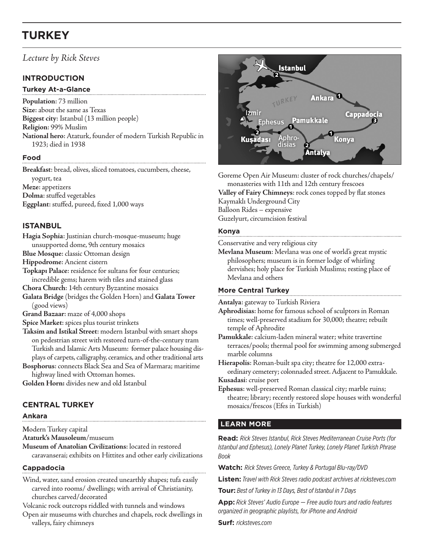# **TURKEY**

## *Lecture by Rick Steves*

## **INTRODUCTION**

#### **Turkey At-a-Glance**

**Population**: 73 million **Size**: about the same as Texas **Biggest city**: Istanbul (13 million people) **Religion**: 99% Muslim **National hero**: Ataturk, founder of modern Turkish Republic in 1923; died in 1938

## **Food**

**Breakfast**: bread, olives, sliced tomatoes, cucumbers, cheese, yogurt, tea **Meze**: appetizers **Dolma**: stuffed vegetables **Eggplant**: stuffed, pureed, fixed 1,000 ways

## **ISTANBUL**

**Hagia Sophia**: Justinian church-mosque-museum; huge unsupported dome, 9th century mosaics

**Blue Mosque**: classic Ottoman design

**Hippodrome**: Ancient cistern

**Topkapı Palace**: residence for sultans for four centuries; incredible gems; harem with tiles and stained glass

**Chora Church**: 14th century Byzantine mosaics

**Galata Bridge** (bridges the Golden Horn) and **Galata Tower** (good views)

**Grand Bazaar**: maze of 4,000 shops

**Spice Market**: spices plus tourist trinkets

**Taksim and Istikal Street**: modern Istanbul with smart shops on pedestrian street with restored turn-of-the-century tram Turkish and Islamic Arts Museum: former palace housing displays of carpets, calligraphy, ceramics, and other traditional arts

**Bosphorus**: connects Black Sea and Sea of Marmara; maritime highway lined with Ottoman homes.

**Golden Horn:** divides new and old Istanbul

## **CENTRAL TURKEY**

#### **Ankara**

**M**odern Turkey capital

**Ataturk's Mausoleum**/museum

**Museum of Anatolian Civilizations**: located in restored caravanserai; exhibits on Hittites and other early civilizations

#### **Cappadocia**

Wind, water, sand erosion created unearthly shapes; tufa easily carved into rooms/ dwellings; with arrival of Christianity, churches carved/decorated

Volcanic rock outcrops riddled with tunnels and windows

Open air museums with churches and chapels, rock dwellings in valleys, fairy chimneys



Goreme Open Air Museum: cluster of rock churches/chapels/ monasteries with 11th and 12th century frescoes **Valley of Fairy Chimneys**: rock cones topped by flat stones Kaymaklı Underground City Balloon Rides – expensive Guzelyurt, circumcision festival

#### **Konya**

Conservative and very religious city

**Mevlana Museum**: Mevlana was one of world's great mystic philosophers; museum is in former lodge of whirling dervishes; holy place for Turkish Muslims; resting place of Mevlana and others

#### **More Central Turkey**

**Antalya**: gateway to Turkish Riviera

**Aphrodisias**: home for famous school of sculptors in Roman times; well-preserved stadium for 30,000; theatre; rebuilt temple of Aphrodite

**Pamukkale**: calcium-laden mineral water; white travertine terraces/pools; thermal pool for swimming among submerged marble columns

**Hierapolis**: Roman-built spa city; theatre for 12,000 extraordinary cemetery; colonnaded street. Adjacent to Pamukkale. **Kusadasi**: cruise port

**Ephesus**: well-preserved Roman classical city; marble ruins; theatre; library; recently restored slope houses with wonderful mosaics/frescos (Efes in Turkish)

## **LEARN MORE**

**Read:** *Rick Steves Istanbul, Rick Steves Mediterranean Cruise Ports (for Istanbul and Ephesus), Lonely Planet Turkey, Lonely Planet Turkish Phrase Book*

**Watch:** *Rick Steves Greece, Turkey & Portugal Blu-ray/DVD*

**Listen:** *Travel with Rick Steves radio podcast archives at ricksteves.com*

**Tour:** *Best of Turkey in 13 Days, Best of Istanbul in 7 Days*

**App:** *Rick Steves' Audio Europe — Free audio tours and radio features organized in geographic playlists, for iPhone and Android*

**Surf:** *ricksteves.com*